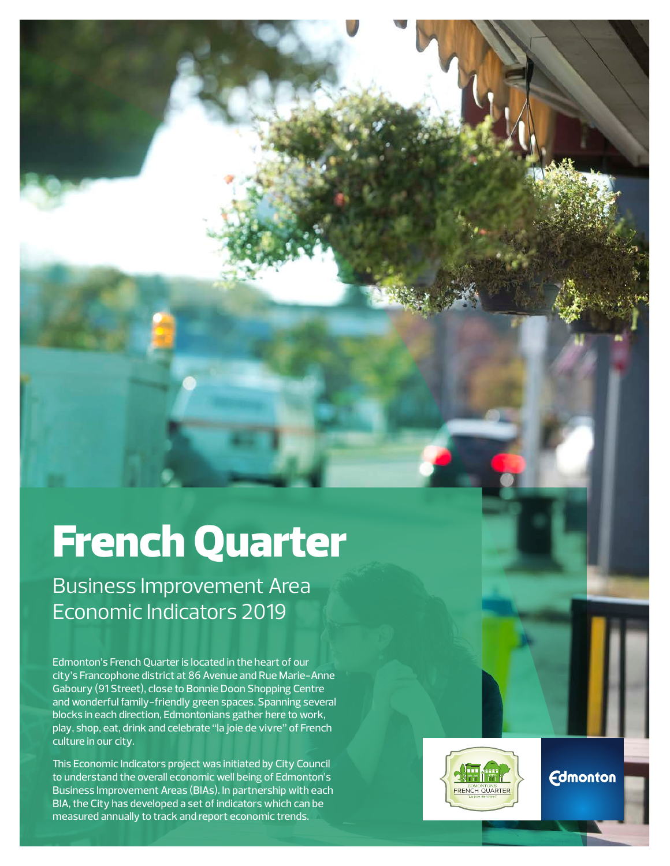# French Quarter

Business Improvement Area Economic Indicators 2019

Edmonton's French Quarter is located in the heart of our city's Francophone district at 86 Avenue and Rue Marie-Anne Gaboury (91 Street), close to Bonnie Doon Shopping Centre and wonderful family-friendly green spaces. Spanning several blocks in each direction, Edmontonians gather here to work, play, shop, eat, drink and celebrate "la joie de vivre" of French culture in our city.

This Economic Indicators project was initiated by City Council to understand the overall economic well being of Edmonton's Business Improvement Areas (BIAs). In partnership with each BIA, the City has developed a set of indicators which can be measured annually to track and report economic trends.



**Edmonton**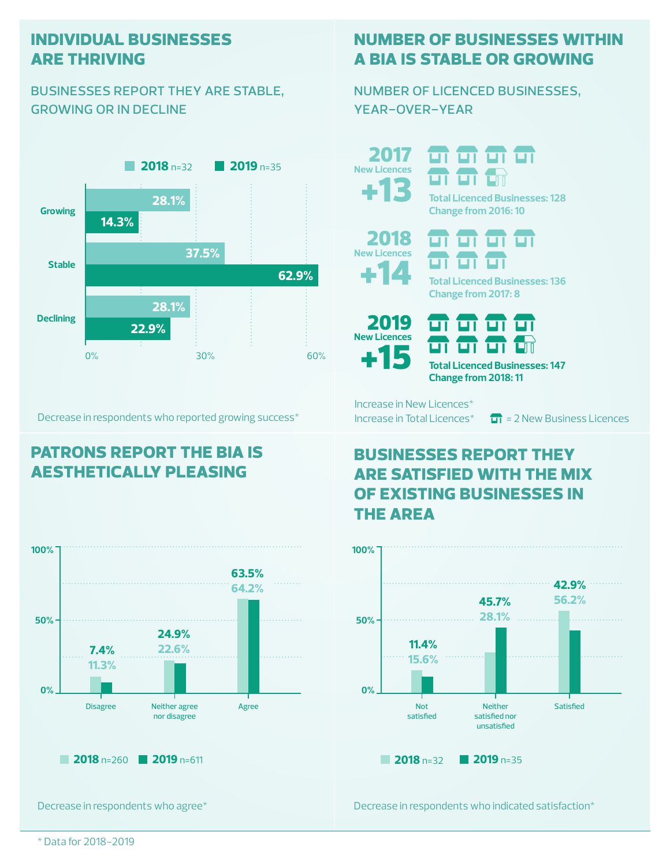#### **individual businesses are thriving**

#### businesses report they are stable, growing or in decline



Decrease in respondents who reported growing success\*

## **patrons report the bia is aesthetically pleasing**



Decrease in respondents who agree\*

### **number of businesses within a bia is stable or growing**

number of licenced businesses, year-over-year

+13 2017 **New Licences**

ज ज **Total Licenced Businesses: 128**





**Change from 2016: 10**

**Total Licenced Businesses: 136 Change from 2017: 8**



ण ण ण ण ण ण ण णा **Total Licenced Businesses: 147**

**Change from 2018: 11**

Increase in New Licences\*

Increase in Total Licences<sup>\*</sup>  $\overline{H}$  = 2 New Business Licences

#### **businesses report they are satisfied with the mix of existing businesses in the area**



Decrease in respondents who indicated satisfaction\*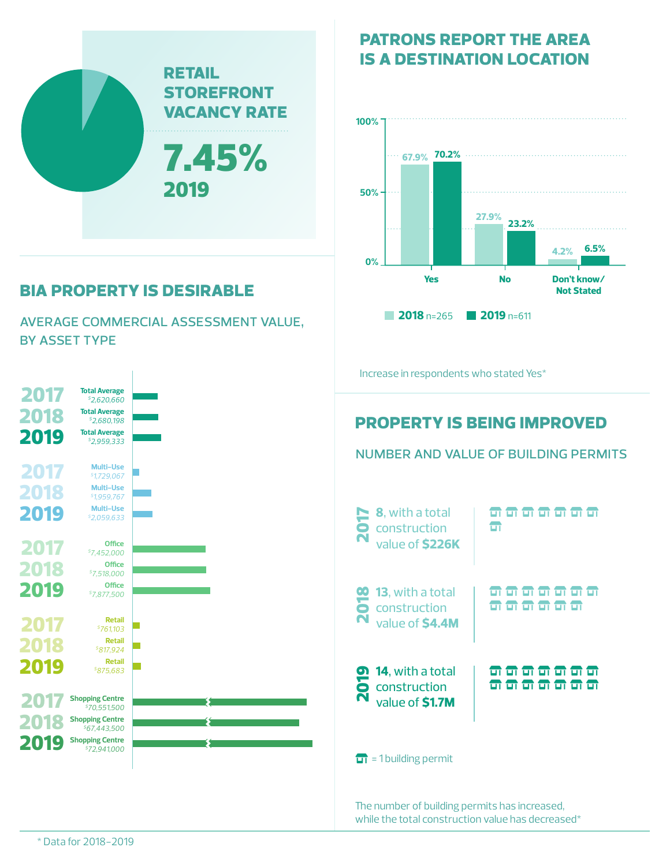

# **bia property is desirable**

average commercial assessment value, by asset type



**is a destination location**

**patrons report the area** 



number and value of building permits

The number of building permits has increased, while the total construction value has decreased\*